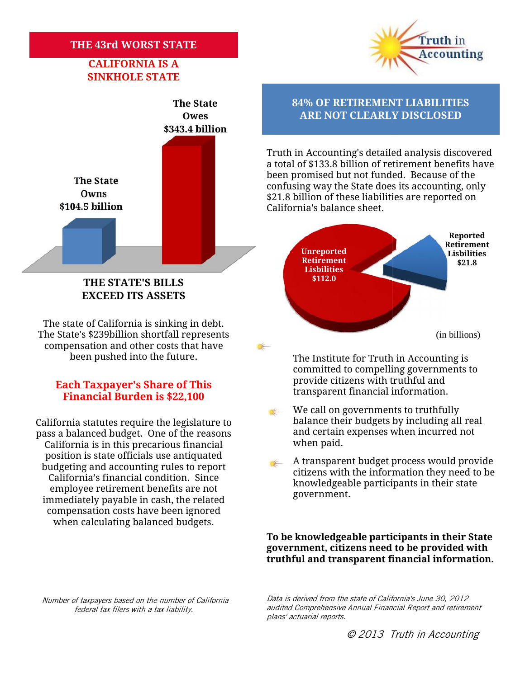## **THE 43rd WORST STATE**

## **CALIFORNIA IS A SINKHOLE STATE**





The state of California is sinking in debt. The The State's \$239billion shortfall represents The State's \$239billion shortfall represents<br>© compensation and other costs that have been pushed into the future. been

## **Each Taxpayer's Share of This**<br>**Financial Burden is \$22,100 Example 11 transparent financial information. Financial Burden is \$22,100**

California statutes require the legislature to the late their by<br>pass a balanced budget. One of the reasons and certain exp<br>California is in this precarious financial when paid. pass a balanced budget. One of the reasons California is in this precarious financial position is state officials use antiquated budgeting and accounting rules to report California's financial condition. Since employee retirement benefits are not immediately payable in cash, the related compensation costs have been ignored when calculating balanced budgets. so a balanced budget. One of the reasons<br>
California is in this precarious financial<br>
position is state officials use antiquated<br>
udgeting and accounting rules to report<br>
California's financial condition. Since<br>
employee r

**The State 84% OF RETIREMENT LIABILITIES Owes ARE NOT CLEARLY DISCLOSED** 

> Truth in Accounting's detailed analysis discovered a total of \$133.8 billion of retirement benefits have been promised but not funded. Because of the confusing way the State does its accounting, only \$21.8 billion of these liabilities are reported on California's balance sheet. Truth in Accounting's detailed analysis discove<br>a total of \$133.8 billion of retirement benefits ł<br>been promised but not funded. Because of the<br>confusing way the State does its accounting, or<br>\$21.8 billion of these liabili



The Institute for Truth in Accounting is committed to compelling governments to provide citizens with truthful and

A transparent budget process would provide citizens with the information they need to be knowledgeable participants in their state government.

**To be knowledgeable participants in their State** To be knowledgeable participants in their State<br>government, citizens need to be provided with **truthful and transparent financial information.**

*Number of taxpayers based on the number of California federal tax filers with a tax liability.*

*Data is derived from the state of California's June 30, 2012 audited Comprehensive Annual Financial Report and retirement plans' actuarial reports. iers based on the number of California* (*Data is derived from the state of California's June 30,*<br>audited Comprehensive Annual Financial Report and<br>plans' actuarial reports.

We call on governments to truthfully balance their budgets by including all real and certain expenses when incurred not